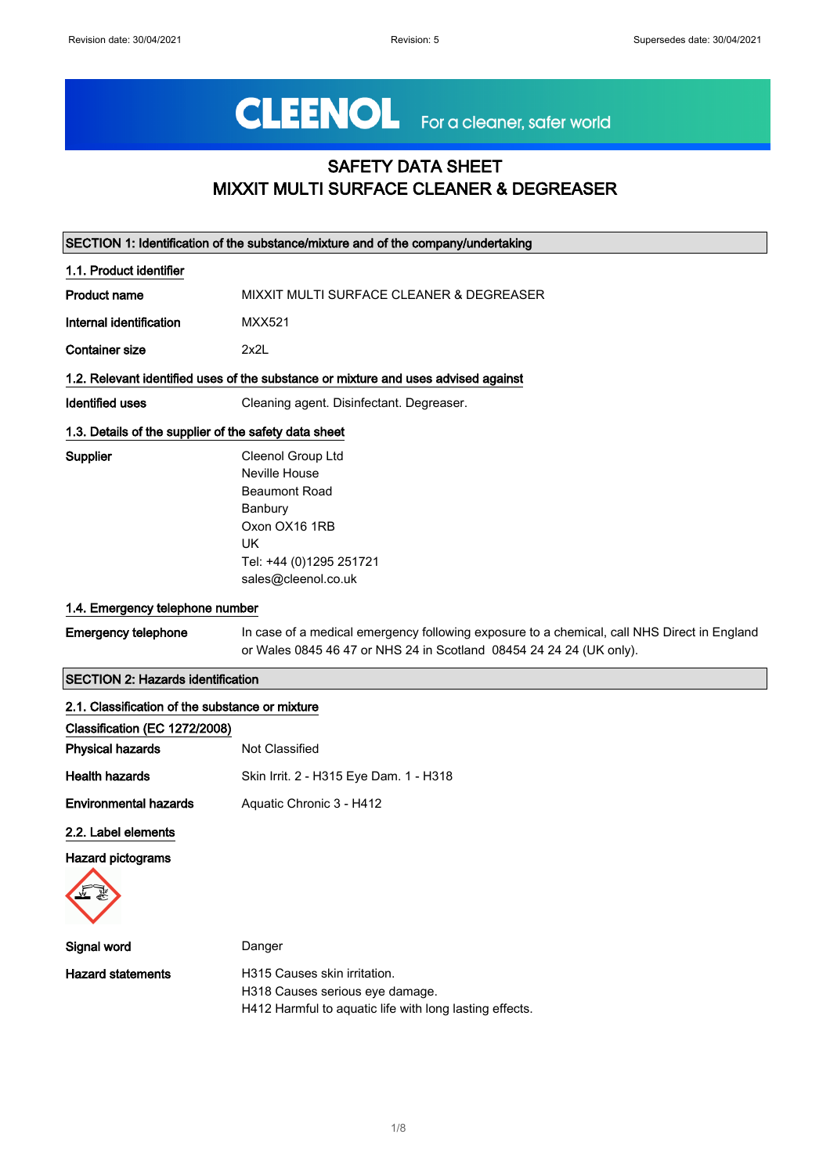# CLEENOL For a cleaner, safer world

# SAFETY DATA SHEET MIXXIT MULTI SURFACE CLEANER & DEGREASER

| SECTION 1: Identification of the substance/mixture and of the company/undertaking |                                                                                                                                                                    |
|-----------------------------------------------------------------------------------|--------------------------------------------------------------------------------------------------------------------------------------------------------------------|
| 1.1. Product identifier                                                           |                                                                                                                                                                    |
| <b>Product name</b>                                                               | MIXXIT MULTI SURFACE CLEANER & DEGREASER                                                                                                                           |
| Internal identification                                                           | <b>MXX521</b>                                                                                                                                                      |
| <b>Container size</b>                                                             | 2x2L                                                                                                                                                               |
|                                                                                   | 1.2. Relevant identified uses of the substance or mixture and uses advised against                                                                                 |
| <b>Identified uses</b>                                                            | Cleaning agent. Disinfectant. Degreaser.                                                                                                                           |
| 1.3. Details of the supplier of the safety data sheet                             |                                                                                                                                                                    |
| Supplier                                                                          | Cleenol Group Ltd<br>Neville House<br><b>Beaumont Road</b><br>Banbury<br>Oxon OX16 1RB<br>UK.<br>Tel: +44 (0)1295 251721<br>sales@cleenol.co.uk                    |
| 1.4. Emergency telephone number                                                   |                                                                                                                                                                    |
| <b>Emergency telephone</b>                                                        | In case of a medical emergency following exposure to a chemical, call NHS Direct in England<br>or Wales 0845 46 47 or NHS 24 in Scotland 08454 24 24 24 (UK only). |
| <b>SECTION 2: Hazards identification</b>                                          |                                                                                                                                                                    |
| 2.1. Classification of the substance or mixture                                   |                                                                                                                                                                    |
| Classification (EC 1272/2008)                                                     |                                                                                                                                                                    |
| <b>Physical hazards</b>                                                           | Not Classified                                                                                                                                                     |
| <b>Health hazards</b>                                                             | Skin Irrit. 2 - H315 Eye Dam. 1 - H318                                                                                                                             |
| <b>Environmental hazards</b>                                                      | Aquatic Chronic 3 - H412                                                                                                                                           |
| 2.2. Label elements<br><b>Hazard pictograms</b>                                   |                                                                                                                                                                    |

| Signal word       | Danger                          |
|-------------------|---------------------------------|
| Hazard statements | H315 Causes skin irritation.    |
|                   | H318 Causes serious eye damage. |
|                   |                                 |

H412 Harmful to aquatic life with long lasting effects.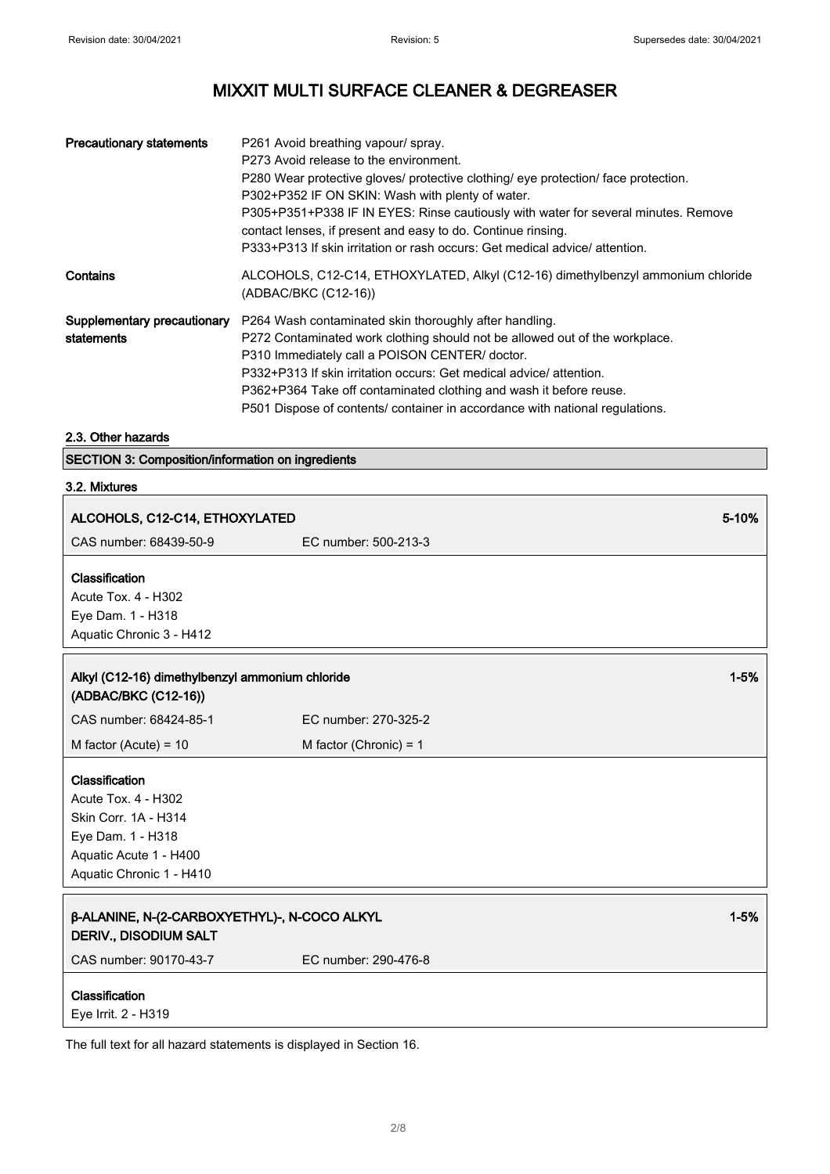| <b>Precautionary statements</b>           | P261 Avoid breathing vapour/ spray.<br>P273 Avoid release to the environment.<br>P280 Wear protective gloves/ protective clothing/ eye protection/ face protection.<br>P302+P352 IF ON SKIN: Wash with plenty of water.<br>P305+P351+P338 IF IN EYES: Rinse cautiously with water for several minutes. Remove<br>contact lenses, if present and easy to do. Continue rinsing.<br>P333+P313 If skin irritation or rash occurs: Get medical advice/attention. |
|-------------------------------------------|-------------------------------------------------------------------------------------------------------------------------------------------------------------------------------------------------------------------------------------------------------------------------------------------------------------------------------------------------------------------------------------------------------------------------------------------------------------|
| Contains                                  | ALCOHOLS, C12-C14, ETHOXYLATED, Alkyl (C12-16) dimethylbenzyl ammonium chloride<br>(ADBAC/BKC (C12-16))                                                                                                                                                                                                                                                                                                                                                     |
| Supplementary precautionary<br>statements | P264 Wash contaminated skin thoroughly after handling.<br>P272 Contaminated work clothing should not be allowed out of the workplace.<br>P310 Immediately call a POISON CENTER/ doctor.<br>P332+P313 If skin irritation occurs: Get medical advice/attention.<br>P362+P364 Take off contaminated clothing and wash it before reuse.<br>P501 Dispose of contents/ container in accordance with national regulations.                                         |

# 2.3. Other hazards

SECTION 3: Composition/information on ingredients

### 3.2. Mixtures

| ALCOHOLS, C12-C14, ETHOXYLATED                                                                                                                  |                          | 5-10%    |
|-------------------------------------------------------------------------------------------------------------------------------------------------|--------------------------|----------|
| CAS number: 68439-50-9                                                                                                                          | EC number: 500-213-3     |          |
| Classification<br>Acute Tox. 4 - H302<br>Eye Dam. 1 - H318<br>Aquatic Chronic 3 - H412                                                          |                          |          |
| Alkyl (C12-16) dimethylbenzyl ammonium chloride<br>(ADBAC/BKC (C12-16))                                                                         |                          | $1 - 5%$ |
| CAS number: 68424-85-1                                                                                                                          | EC number: 270-325-2     |          |
| M factor (Acute) = $10$                                                                                                                         | M factor (Chronic) = $1$ |          |
| Classification<br><b>Acute Tox. 4 - H302</b><br>Skin Corr. 1A - H314<br>Eye Dam. 1 - H318<br>Aquatic Acute 1 - H400<br>Aquatic Chronic 1 - H410 |                          |          |
| β-ALANINE, N-(2-CARBOXYETHYL)-, N-COCO ALKYL<br><b>DERIV., DISODIUM SALT</b>                                                                    |                          | $1 - 5%$ |
| CAS number: 90170-43-7                                                                                                                          | EC number: 290-476-8     |          |
| Classification<br>Eye Irrit. 2 - H319                                                                                                           |                          |          |

The full text for all hazard statements is displayed in Section 16.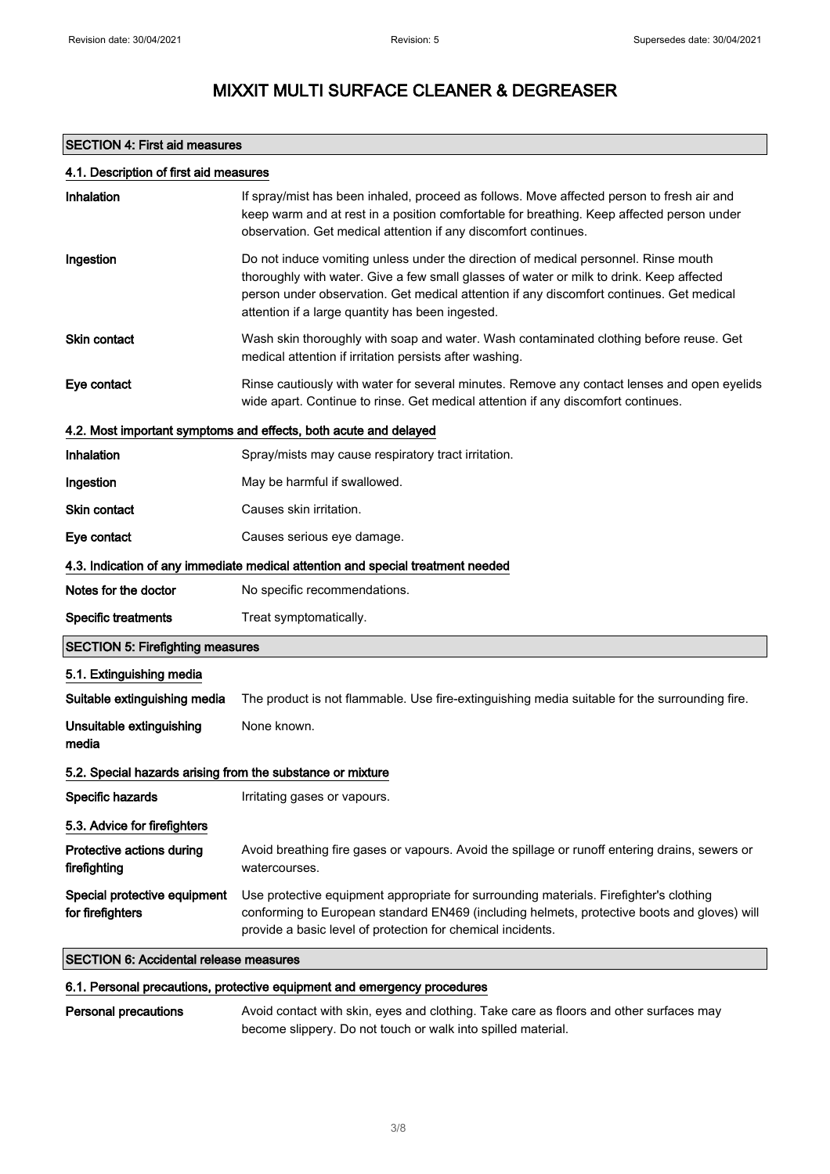### SECTION 4: First aid measures

| 4.1. Description of first aid measures                     |                                                                                                                                                                                                                                                                                                                                 |
|------------------------------------------------------------|---------------------------------------------------------------------------------------------------------------------------------------------------------------------------------------------------------------------------------------------------------------------------------------------------------------------------------|
| Inhalation                                                 | If spray/mist has been inhaled, proceed as follows. Move affected person to fresh air and<br>keep warm and at rest in a position comfortable for breathing. Keep affected person under<br>observation. Get medical attention if any discomfort continues.                                                                       |
| Ingestion                                                  | Do not induce vomiting unless under the direction of medical personnel. Rinse mouth<br>thoroughly with water. Give a few small glasses of water or milk to drink. Keep affected<br>person under observation. Get medical attention if any discomfort continues. Get medical<br>attention if a large quantity has been ingested. |
| <b>Skin contact</b>                                        | Wash skin thoroughly with soap and water. Wash contaminated clothing before reuse. Get<br>medical attention if irritation persists after washing.                                                                                                                                                                               |
| Eye contact                                                | Rinse cautiously with water for several minutes. Remove any contact lenses and open eyelids<br>wide apart. Continue to rinse. Get medical attention if any discomfort continues.                                                                                                                                                |
|                                                            | 4.2. Most important symptoms and effects, both acute and delayed                                                                                                                                                                                                                                                                |
| Inhalation                                                 | Spray/mists may cause respiratory tract irritation.                                                                                                                                                                                                                                                                             |
| Ingestion                                                  | May be harmful if swallowed.                                                                                                                                                                                                                                                                                                    |
| <b>Skin contact</b>                                        | Causes skin irritation.                                                                                                                                                                                                                                                                                                         |
| Eye contact                                                | Causes serious eye damage.                                                                                                                                                                                                                                                                                                      |
|                                                            | 4.3. Indication of any immediate medical attention and special treatment needed                                                                                                                                                                                                                                                 |
| Notes for the doctor                                       | No specific recommendations.                                                                                                                                                                                                                                                                                                    |
| <b>Specific treatments</b>                                 | Treat symptomatically.                                                                                                                                                                                                                                                                                                          |
| <b>SECTION 5: Firefighting measures</b>                    |                                                                                                                                                                                                                                                                                                                                 |
| 5.1. Extinguishing media                                   |                                                                                                                                                                                                                                                                                                                                 |
| Suitable extinguishing media                               | The product is not flammable. Use fire-extinguishing media suitable for the surrounding fire.                                                                                                                                                                                                                                   |
| Unsuitable extinguishing<br>media                          | None known.                                                                                                                                                                                                                                                                                                                     |
| 5.2. Special hazards arising from the substance or mixture |                                                                                                                                                                                                                                                                                                                                 |
| Specific hazards                                           | Irritating gases or vapours.                                                                                                                                                                                                                                                                                                    |
| 5.3. Advice for firefighters                               |                                                                                                                                                                                                                                                                                                                                 |
| Protective actions during<br>firefighting                  | Avoid breathing fire gases or vapours. Avoid the spillage or runoff entering drains, sewers or<br>watercourses.                                                                                                                                                                                                                 |
| Special protective equipment<br>for firefighters           | Use protective equipment appropriate for surrounding materials. Firefighter's clothing<br>conforming to European standard EN469 (including helmets, protective boots and gloves) will<br>provide a basic level of protection for chemical incidents.                                                                            |
| <b>SECTION 6: Accidental release measures</b>              |                                                                                                                                                                                                                                                                                                                                 |

### 6.1. Personal precautions, protective equipment and emergency procedures

Personal precautions Avoid contact with skin, eyes and clothing. Take care as floors and other surfaces may become slippery. Do not touch or walk into spilled material.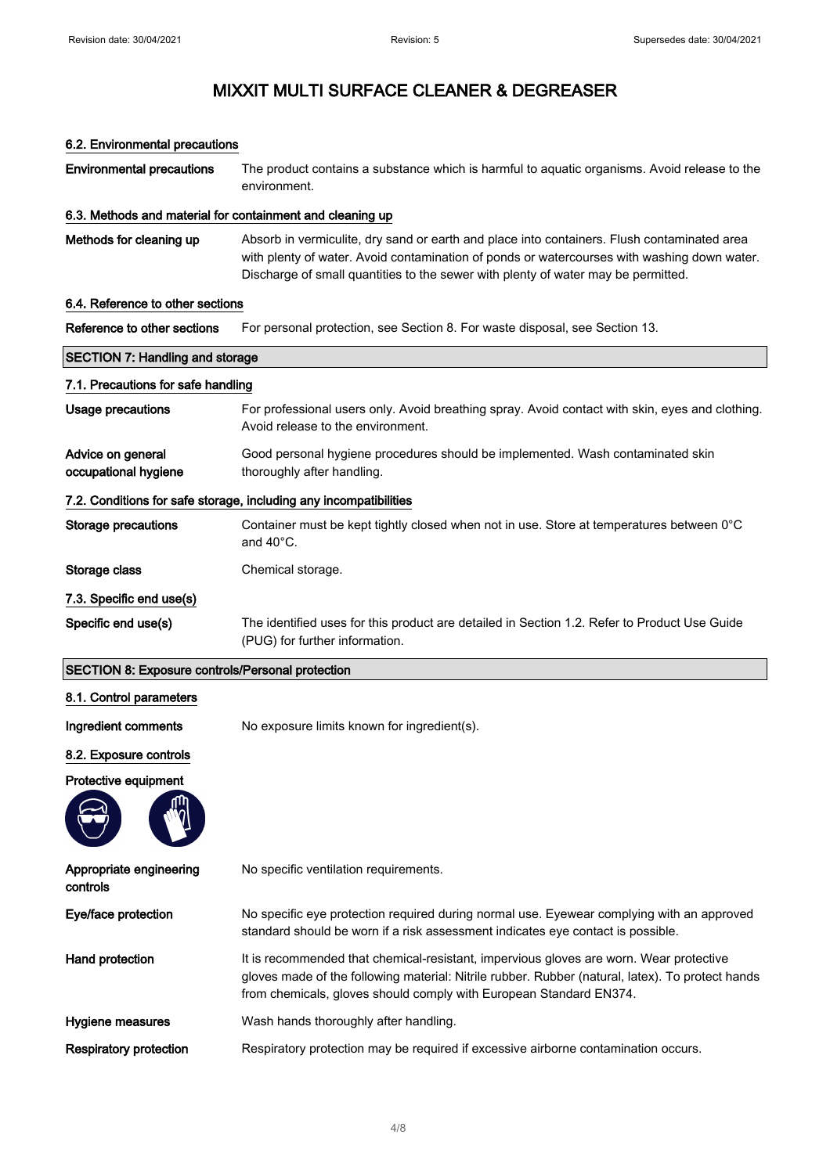6.2. Environmental precautions

# MIXXIT MULTI SURFACE CLEANER & DEGREASER

| <b>Environmental precautions</b>                          | The product contains a substance which is harmful to aquatic organisms. Avoid release to the<br>environment.                                                                                                                                                                    |  |
|-----------------------------------------------------------|---------------------------------------------------------------------------------------------------------------------------------------------------------------------------------------------------------------------------------------------------------------------------------|--|
| 6.3. Methods and material for containment and cleaning up |                                                                                                                                                                                                                                                                                 |  |
| Methods for cleaning up                                   | Absorb in vermiculite, dry sand or earth and place into containers. Flush contaminated area<br>with plenty of water. Avoid contamination of ponds or watercourses with washing down water.<br>Discharge of small quantities to the sewer with plenty of water may be permitted. |  |
| 6.4. Reference to other sections                          |                                                                                                                                                                                                                                                                                 |  |
| Reference to other sections                               | For personal protection, see Section 8. For waste disposal, see Section 13.                                                                                                                                                                                                     |  |
| <b>SECTION 7: Handling and storage</b>                    |                                                                                                                                                                                                                                                                                 |  |
| 7.1. Precautions for safe handling                        |                                                                                                                                                                                                                                                                                 |  |
| <b>Usage precautions</b>                                  | For professional users only. Avoid breathing spray. Avoid contact with skin, eyes and clothing.<br>Avoid release to the environment.                                                                                                                                            |  |
| Advice on general<br>occupational hygiene                 | Good personal hygiene procedures should be implemented. Wash contaminated skin<br>thoroughly after handling.                                                                                                                                                                    |  |
|                                                           | 7.2. Conditions for safe storage, including any incompatibilities                                                                                                                                                                                                               |  |
| <b>Storage precautions</b>                                | Container must be kept tightly closed when not in use. Store at temperatures between 0°C<br>and $40^{\circ}$ C.                                                                                                                                                                 |  |
| Storage class                                             | Chemical storage.                                                                                                                                                                                                                                                               |  |
| 7.3. Specific end use(s)                                  |                                                                                                                                                                                                                                                                                 |  |
| Specific end use(s)                                       | The identified uses for this product are detailed in Section 1.2. Refer to Product Use Guide<br>(PUG) for further information.                                                                                                                                                  |  |
| <b>SECTION 8: Exposure controls/Personal protection</b>   |                                                                                                                                                                                                                                                                                 |  |
| 8.1. Control parameters                                   |                                                                                                                                                                                                                                                                                 |  |
| Ingredient comments                                       | No exposure limits known for ingredient(s).                                                                                                                                                                                                                                     |  |
| 8.2. Exposure controls                                    |                                                                                                                                                                                                                                                                                 |  |
| Protective equipment                                      |                                                                                                                                                                                                                                                                                 |  |
|                                                           |                                                                                                                                                                                                                                                                                 |  |
| Appropriate engineering<br>controls                       | No specific ventilation requirements.                                                                                                                                                                                                                                           |  |
| Eye/face protection                                       | No specific eye protection required during normal use. Eyewear complying with an approved<br>standard should be worn if a risk assessment indicates eye contact is possible.                                                                                                    |  |
| Hand protection                                           | It is recommended that chemical-resistant, impervious gloves are worn. Wear protective<br>gloves made of the following material: Nitrile rubber. Rubber (natural, latex). To protect hands<br>from chemicals, gloves should comply with European Standard EN374.                |  |
| Hygiene measures                                          | Wash hands thoroughly after handling.                                                                                                                                                                                                                                           |  |
| <b>Respiratory protection</b>                             | Respiratory protection may be required if excessive airborne contamination occurs.                                                                                                                                                                                              |  |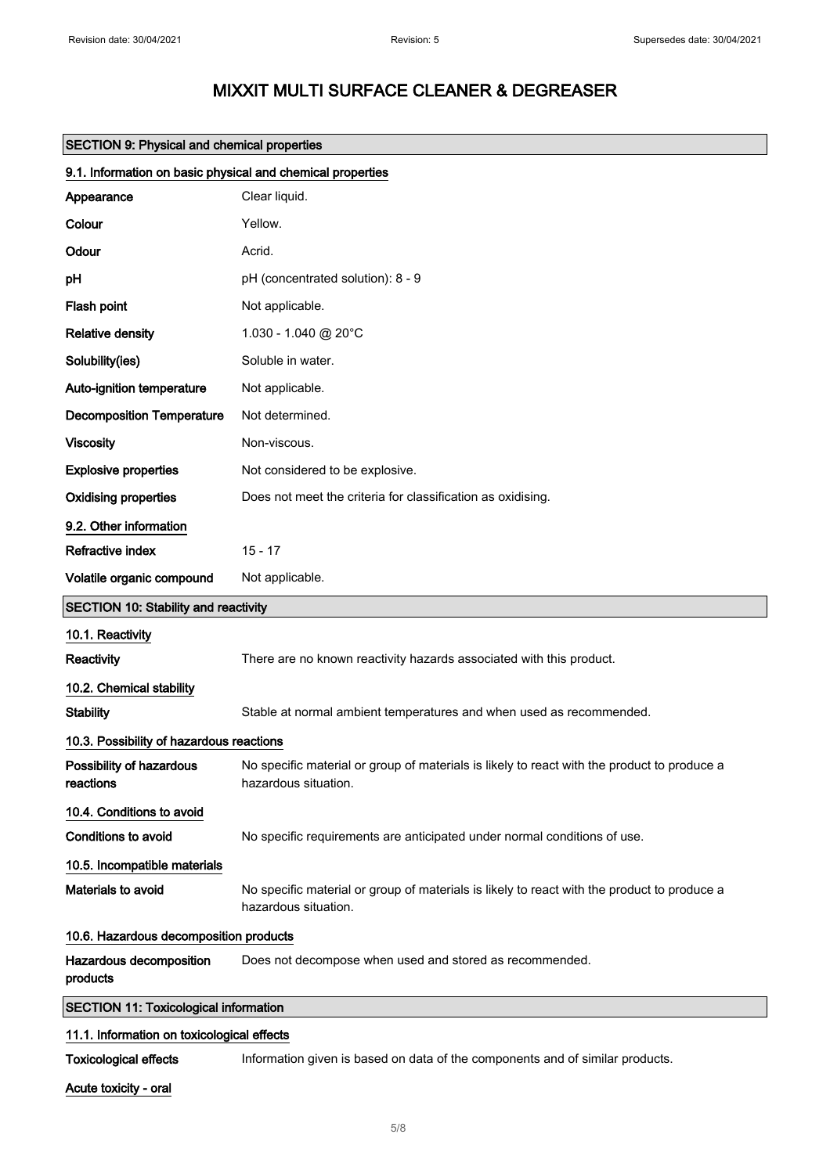| <b>SECTION 9: Physical and chemical properties</b>         |                                                                                                                     |  |
|------------------------------------------------------------|---------------------------------------------------------------------------------------------------------------------|--|
| 9.1. Information on basic physical and chemical properties |                                                                                                                     |  |
| Appearance                                                 | Clear liquid.                                                                                                       |  |
| Colour                                                     | Yellow.                                                                                                             |  |
| Odour                                                      | Acrid.                                                                                                              |  |
| pH                                                         | pH (concentrated solution): 8 - 9                                                                                   |  |
| Flash point                                                | Not applicable.                                                                                                     |  |
| <b>Relative density</b>                                    | 1.030 - 1.040 @ 20°C                                                                                                |  |
| Solubility(ies)                                            | Soluble in water.                                                                                                   |  |
| Auto-ignition temperature                                  | Not applicable.                                                                                                     |  |
| <b>Decomposition Temperature</b>                           | Not determined.                                                                                                     |  |
| <b>Viscosity</b>                                           | Non-viscous.                                                                                                        |  |
| <b>Explosive properties</b>                                | Not considered to be explosive.                                                                                     |  |
| <b>Oxidising properties</b>                                | Does not meet the criteria for classification as oxidising.                                                         |  |
| 9.2. Other information                                     |                                                                                                                     |  |
| Refractive index                                           | $15 - 17$                                                                                                           |  |
| Volatile organic compound                                  | Not applicable.                                                                                                     |  |
| <b>SECTION 10: Stability and reactivity</b>                |                                                                                                                     |  |
| 10.1. Reactivity                                           |                                                                                                                     |  |
| <b>Reactivity</b>                                          | There are no known reactivity hazards associated with this product.                                                 |  |
| 10.2. Chemical stability                                   |                                                                                                                     |  |
| <b>Stability</b>                                           | Stable at normal ambient temperatures and when used as recommended.                                                 |  |
| 10.3. Possibility of hazardous reactions                   |                                                                                                                     |  |
| Possibility of hazardous<br>reactions                      | No specific material or group of materials is likely to react with the product to produce a<br>hazardous situation. |  |
| 10.4. Conditions to avoid                                  |                                                                                                                     |  |
| <b>Conditions to avoid</b>                                 | No specific requirements are anticipated under normal conditions of use.                                            |  |
| 10.5. Incompatible materials                               |                                                                                                                     |  |
| Materials to avoid                                         | No specific material or group of materials is likely to react with the product to produce a<br>hazardous situation. |  |
| 10.6. Hazardous decomposition products                     |                                                                                                                     |  |
| Hazardous decomposition<br>products                        | Does not decompose when used and stored as recommended.                                                             |  |
| <b>SECTION 11: Toxicological information</b>               |                                                                                                                     |  |
| 11.1. Information on toxicological effects                 |                                                                                                                     |  |
| <b>Toxicological effects</b>                               | Information given is based on data of the components and of similar products.                                       |  |

Acute toxicity - oral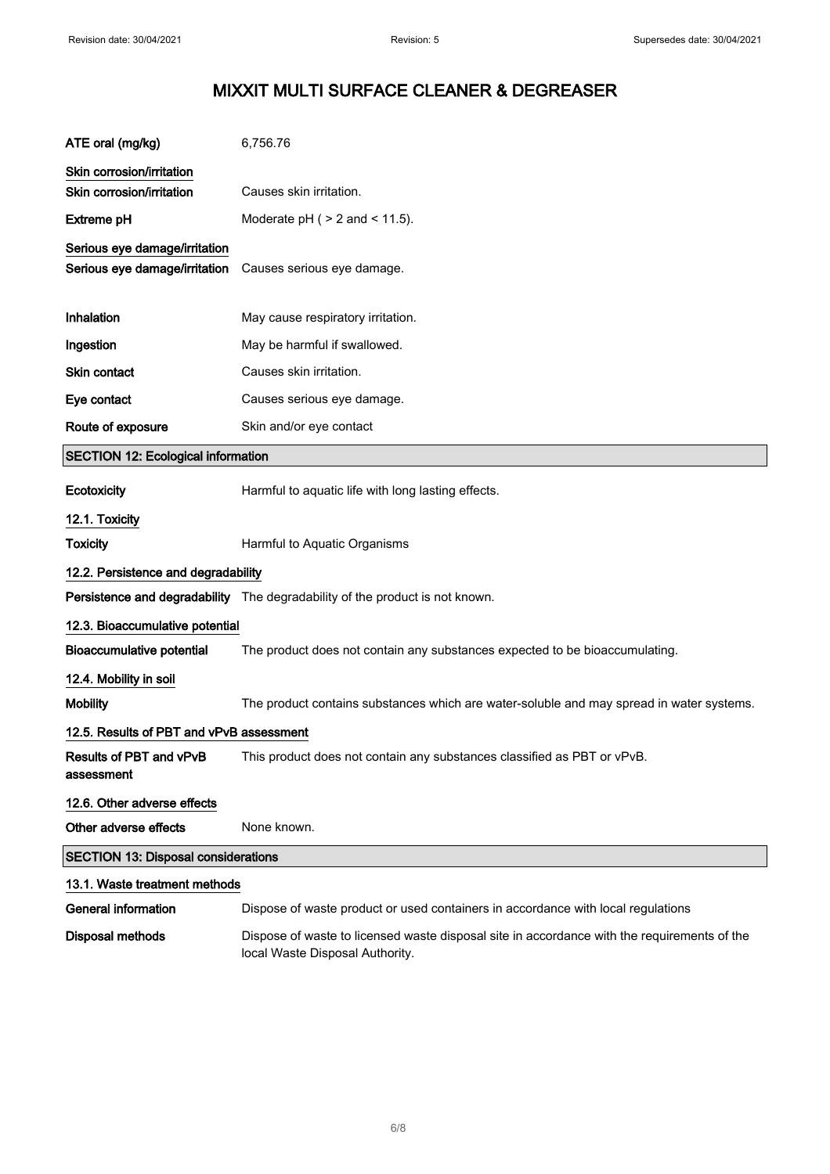| ATE oral (mg/kg)                                               | 6,756.76                                                                                                                       |
|----------------------------------------------------------------|--------------------------------------------------------------------------------------------------------------------------------|
| Skin corrosion/irritation                                      |                                                                                                                                |
| Skin corrosion/irritation                                      | Causes skin irritation.                                                                                                        |
| <b>Extreme pH</b>                                              | Moderate $pH$ ( $> 2$ and $< 11.5$ ).                                                                                          |
| Serious eye damage/irritation<br>Serious eye damage/irritation | Causes serious eye damage.                                                                                                     |
| Inhalation                                                     | May cause respiratory irritation.                                                                                              |
| Ingestion                                                      | May be harmful if swallowed.                                                                                                   |
| Skin contact                                                   | Causes skin irritation.                                                                                                        |
| Eye contact                                                    | Causes serious eye damage.                                                                                                     |
| Route of exposure                                              | Skin and/or eye contact                                                                                                        |
| <b>SECTION 12: Ecological information</b>                      |                                                                                                                                |
| <b>Ecotoxicity</b>                                             | Harmful to aquatic life with long lasting effects.                                                                             |
| 12.1. Toxicity                                                 |                                                                                                                                |
| <b>Toxicity</b>                                                | Harmful to Aquatic Organisms                                                                                                   |
| 12.2. Persistence and degradability                            |                                                                                                                                |
|                                                                | Persistence and degradability The degradability of the product is not known.                                                   |
| 12.3. Bioaccumulative potential                                |                                                                                                                                |
| <b>Bioaccumulative potential</b>                               | The product does not contain any substances expected to be bioaccumulating.                                                    |
| 12.4. Mobility in soil                                         |                                                                                                                                |
| <b>Mobility</b>                                                | The product contains substances which are water-soluble and may spread in water systems.                                       |
| 12.5. Results of PBT and vPvB assessment                       |                                                                                                                                |
| Results of PBT and vPvB<br>assessment                          | This product does not contain any substances classified as PBT or vPvB                                                         |
| 12.6. Other adverse effects                                    |                                                                                                                                |
| Other adverse effects                                          | None known.                                                                                                                    |
| <b>SECTION 13: Disposal considerations</b>                     |                                                                                                                                |
| 13.1. Waste treatment methods                                  |                                                                                                                                |
| <b>General information</b>                                     | Dispose of waste product or used containers in accordance with local regulations                                               |
| Disposal methods                                               | Dispose of waste to licensed waste disposal site in accordance with the requirements of the<br>local Waste Disposal Authority. |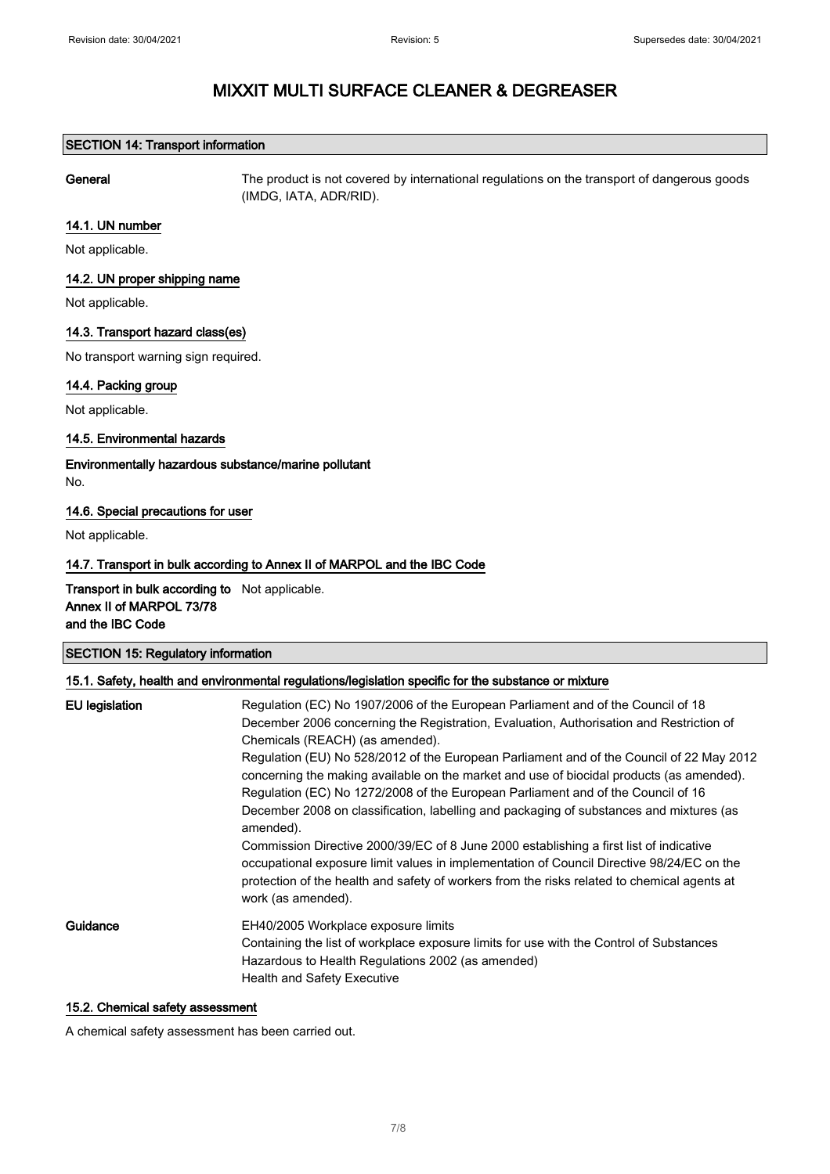### SECTION 14: Transport information

General The product is not covered by international regulations on the transport of dangerous goods (IMDG, IATA, ADR/RID).

### 14.1. UN number

Not applicable.

### 14.2. UN proper shipping name

Not applicable.

### 14.3. Transport hazard class(es)

No transport warning sign required.

### 14.4. Packing group

Not applicable.

### 14.5. Environmental hazards

Environmentally hazardous substance/marine pollutant

No.

### 14.6. Special precautions for user

Not applicable.

### 14.7. Transport in bulk according to Annex II of MARPOL and the IBC Code

Transport in bulk according to Not applicable. Annex II of MARPOL 73/78 and the IBC Code

### SECTION 15: Regulatory information

### 15.1. Safety, health and environmental regulations/legislation specific for the substance or mixture

| <b>EU</b> legislation | Regulation (EC) No 1907/2006 of the European Parliament and of the Council of 18<br>December 2006 concerning the Registration, Evaluation, Authorisation and Restriction of<br>Chemicals (REACH) (as amended).<br>Regulation (EU) No 528/2012 of the European Parliament and of the Council of 22 May 2012<br>concerning the making available on the market and use of biocidal products (as amended).<br>Regulation (EC) No 1272/2008 of the European Parliament and of the Council of 16<br>December 2008 on classification, labelling and packaging of substances and mixtures (as<br>amended).<br>Commission Directive 2000/39/EC of 8 June 2000 establishing a first list of indicative<br>occupational exposure limit values in implementation of Council Directive 98/24/EC on the<br>protection of the health and safety of workers from the risks related to chemical agents at<br>work (as amended). |
|-----------------------|----------------------------------------------------------------------------------------------------------------------------------------------------------------------------------------------------------------------------------------------------------------------------------------------------------------------------------------------------------------------------------------------------------------------------------------------------------------------------------------------------------------------------------------------------------------------------------------------------------------------------------------------------------------------------------------------------------------------------------------------------------------------------------------------------------------------------------------------------------------------------------------------------------------|
| Guidance              | EH40/2005 Workplace exposure limits<br>Containing the list of workplace exposure limits for use with the Control of Substances<br>Hazardous to Health Regulations 2002 (as amended)<br><b>Health and Safety Executive</b>                                                                                                                                                                                                                                                                                                                                                                                                                                                                                                                                                                                                                                                                                      |

### 15.2. Chemical safety assessment

A chemical safety assessment has been carried out.